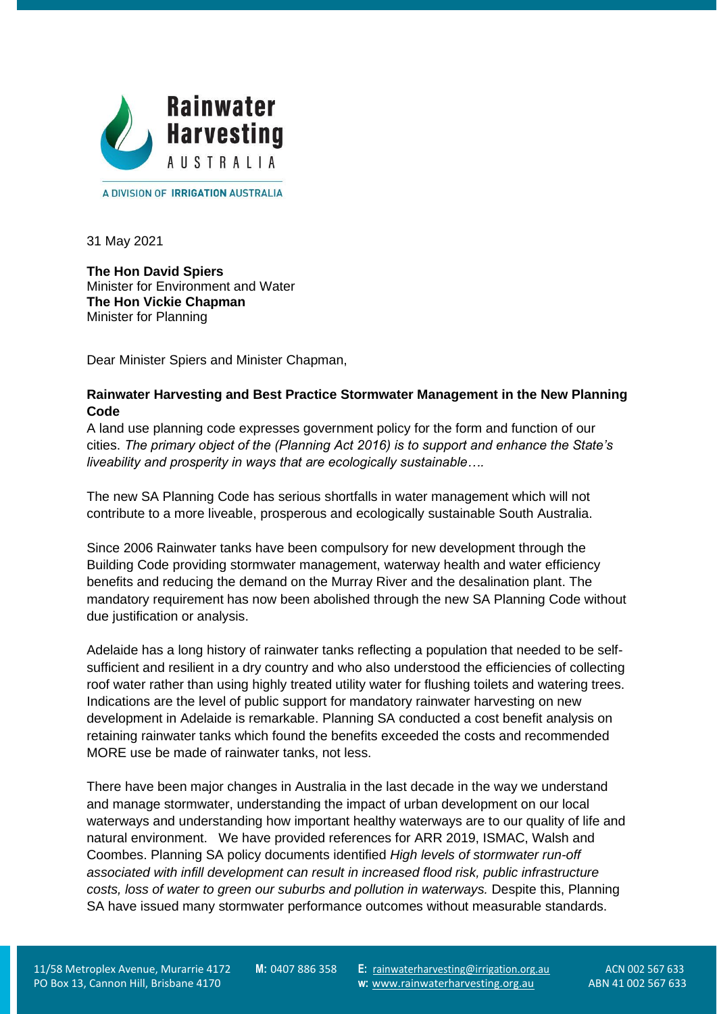

A DIVISION OF **IRRIGATION AUSTRALIA** 

31 May 2021

**The Hon David Spiers** Minister for Environment and Water **The Hon Vickie Chapman** Minister for Planning

Dear Minister Spiers and Minister Chapman,

# **Rainwater Harvesting and Best Practice Stormwater Management in the New Planning Code**

A land use planning code expresses government policy for the form and function of our cities. *The primary object of the (Planning Act 2016) is to support and enhance the State's liveability and prosperity in ways that are ecologically sustainable….*

The new SA Planning Code has serious shortfalls in water management which will not contribute to a more liveable, prosperous and ecologically sustainable South Australia.

Since 2006 Rainwater tanks have been compulsory for new development through the Building Code providing stormwater management, waterway health and water efficiency benefits and reducing the demand on the Murray River and the desalination plant. The mandatory requirement has now been abolished through the new SA Planning Code without due justification or analysis.

Adelaide has a long history of rainwater tanks reflecting a population that needed to be selfsufficient and resilient in a dry country and who also understood the efficiencies of collecting roof water rather than using highly treated utility water for flushing toilets and watering trees. Indications are the level of public support for mandatory rainwater harvesting on new development in Adelaide is remarkable. Planning SA conducted a cost benefit analysis on retaining rainwater tanks which found the benefits exceeded the costs and recommended MORE use be made of rainwater tanks, not less.

There have been major changes in Australia in the last decade in the way we understand and manage stormwater, understanding the impact of urban development on our local waterways and understanding how important healthy waterways are to our quality of life and natural environment. We have provided references for ARR 2019, ISMAC, Walsh and Coombes. Planning SA policy documents identified *High levels of stormwater run-off associated with infill development can result in increased flood risk, public infrastructure costs, loss of water to green our suburbs and pollution in waterways.* Despite this, Planning SA have issued many stormwater performance outcomes without measurable standards.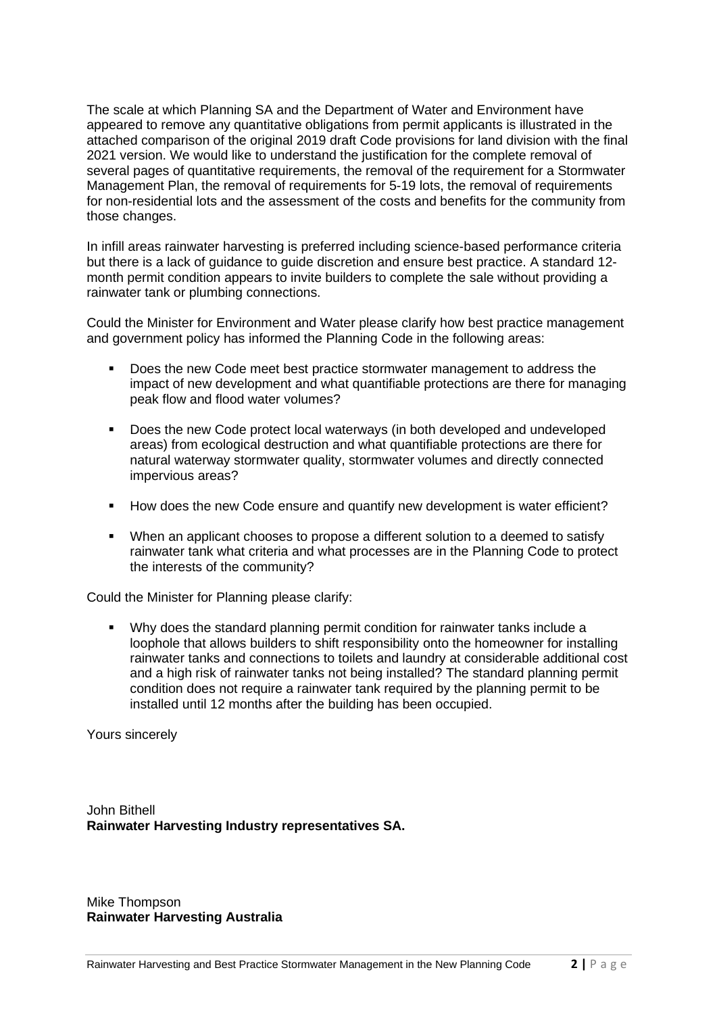The scale at which Planning SA and the Department of Water and Environment have appeared to remove any quantitative obligations from permit applicants is illustrated in the attached comparison of the original 2019 draft Code provisions for land division with the final 2021 version. We would like to understand the justification for the complete removal of several pages of quantitative requirements, the removal of the requirement for a Stormwater Management Plan, the removal of requirements for 5-19 lots, the removal of requirements for non-residential lots and the assessment of the costs and benefits for the community from those changes.

In infill areas rainwater harvesting is preferred including science-based performance criteria but there is a lack of guidance to guide discretion and ensure best practice. A standard 12 month permit condition appears to invite builders to complete the sale without providing a rainwater tank or plumbing connections.

Could the Minister for Environment and Water please clarify how best practice management and government policy has informed the Planning Code in the following areas:

- Does the new Code meet best practice stormwater management to address the impact of new development and what quantifiable protections are there for managing peak flow and flood water volumes?
- Does the new Code protect local waterways (in both developed and undeveloped areas) from ecological destruction and what quantifiable protections are there for natural waterway stormwater quality, stormwater volumes and directly connected impervious areas?
- How does the new Code ensure and quantify new development is water efficient?
- When an applicant chooses to propose a different solution to a deemed to satisfy rainwater tank what criteria and what processes are in the Planning Code to protect the interests of the community?

Could the Minister for Planning please clarify:

▪ Why does the standard planning permit condition for rainwater tanks include a loophole that allows builders to shift responsibility onto the homeowner for installing rainwater tanks and connections to toilets and laundry at considerable additional cost and a high risk of rainwater tanks not being installed? The standard planning permit condition does not require a rainwater tank required by the planning permit to be installed until 12 months after the building has been occupied.

Yours sincerely

John Bithell **Rainwater Harvesting Industry representatives SA.**

Mike Thompson **Rainwater Harvesting Australia**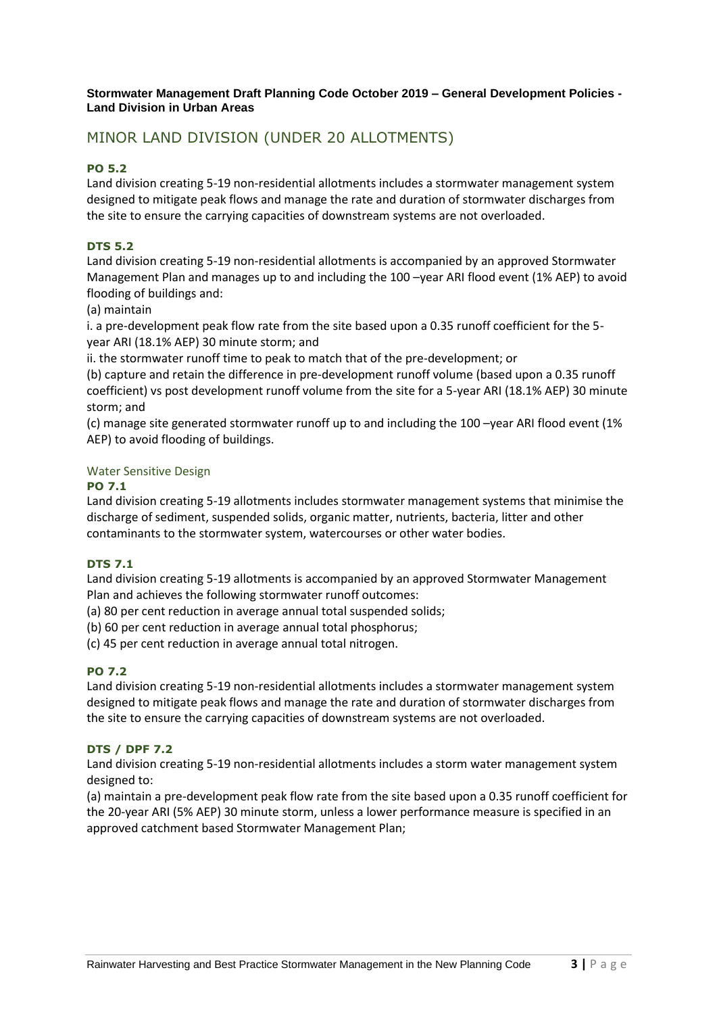#### **Stormwater Management Draft Planning Code October 2019 – General Development Policies - Land Division in Urban Areas**

# MINOR LAND DIVISION (UNDER 20 ALLOTMENTS)

## **PO 5.2**

Land division creating 5-19 non-residential allotments includes a stormwater management system designed to mitigate peak flows and manage the rate and duration of stormwater discharges from the site to ensure the carrying capacities of downstream systems are not overloaded.

## **DTS 5.2**

Land division creating 5-19 non-residential allotments is accompanied by an approved Stormwater Management Plan and manages up to and including the 100 –year ARI flood event (1% AEP) to avoid flooding of buildings and:

(a) maintain

i. a pre-development peak flow rate from the site based upon a 0.35 runoff coefficient for the 5 year ARI (18.1% AEP) 30 minute storm; and

ii. the stormwater runoff time to peak to match that of the pre-development; or

(b) capture and retain the difference in pre-development runoff volume (based upon a 0.35 runoff coefficient) vs post development runoff volume from the site for a 5-year ARI (18.1% AEP) 30 minute storm; and

(c) manage site generated stormwater runoff up to and including the 100 –year ARI flood event (1% AEP) to avoid flooding of buildings.

### Water Sensitive Design

### **PO 7.1**

Land division creating 5-19 allotments includes stormwater management systems that minimise the discharge of sediment, suspended solids, organic matter, nutrients, bacteria, litter and other contaminants to the stormwater system, watercourses or other water bodies.

### **DTS 7.1**

Land division creating 5-19 allotments is accompanied by an approved Stormwater Management Plan and achieves the following stormwater runoff outcomes:

(a) 80 per cent reduction in average annual total suspended solids;

(b) 60 per cent reduction in average annual total phosphorus;

(c) 45 per cent reduction in average annual total nitrogen.

# **PO 7.2**

Land division creating 5-19 non-residential allotments includes a stormwater management system designed to mitigate peak flows and manage the rate and duration of stormwater discharges from the site to ensure the carrying capacities of downstream systems are not overloaded.

# **DTS / DPF 7.2**

Land division creating 5-19 non-residential allotments includes a storm water management system designed to:

(a) maintain a pre-development peak flow rate from the site based upon a 0.35 runoff coefficient for the 20-year ARI (5% AEP) 30 minute storm, unless a lower performance measure is specified in an approved catchment based Stormwater Management Plan;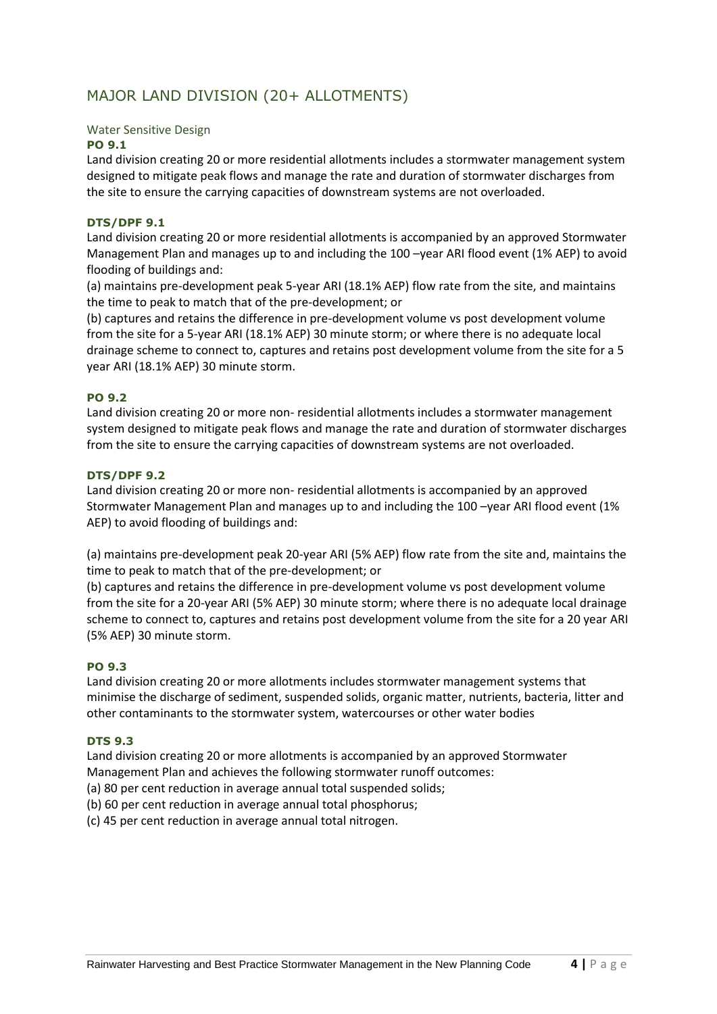# MAJOR LAND DIVISION (20+ ALLOTMENTS)

#### Water Sensitive Design

#### **PO 9.1**

Land division creating 20 or more residential allotments includes a stormwater management system designed to mitigate peak flows and manage the rate and duration of stormwater discharges from the site to ensure the carrying capacities of downstream systems are not overloaded.

#### **DTS/DPF 9.1**

Land division creating 20 or more residential allotments is accompanied by an approved Stormwater Management Plan and manages up to and including the 100 –year ARI flood event (1% AEP) to avoid flooding of buildings and:

(a) maintains pre-development peak 5-year ARI (18.1% AEP) flow rate from the site, and maintains the time to peak to match that of the pre-development; or

(b) captures and retains the difference in pre-development volume vs post development volume from the site for a 5-year ARI (18.1% AEP) 30 minute storm; or where there is no adequate local drainage scheme to connect to, captures and retains post development volume from the site for a 5 year ARI (18.1% AEP) 30 minute storm.

#### **PO 9.2**

Land division creating 20 or more non- residential allotments includes a stormwater management system designed to mitigate peak flows and manage the rate and duration of stormwater discharges from the site to ensure the carrying capacities of downstream systems are not overloaded.

#### **DTS/DPF 9.2**

Land division creating 20 or more non- residential allotments is accompanied by an approved Stormwater Management Plan and manages up to and including the 100 –year ARI flood event (1% AEP) to avoid flooding of buildings and:

(a) maintains pre-development peak 20-year ARI (5% AEP) flow rate from the site and, maintains the time to peak to match that of the pre-development; or

(b) captures and retains the difference in pre-development volume vs post development volume from the site for a 20-year ARI (5% AEP) 30 minute storm; where there is no adequate local drainage scheme to connect to, captures and retains post development volume from the site for a 20 year ARI (5% AEP) 30 minute storm.

#### **PO 9.3**

Land division creating 20 or more allotments includes stormwater management systems that minimise the discharge of sediment, suspended solids, organic matter, nutrients, bacteria, litter and other contaminants to the stormwater system, watercourses or other water bodies

#### **DTS 9.3**

Land division creating 20 or more allotments is accompanied by an approved Stormwater Management Plan and achieves the following stormwater runoff outcomes:

- (a) 80 per cent reduction in average annual total suspended solids;
- (b) 60 per cent reduction in average annual total phosphorus;

(c) 45 per cent reduction in average annual total nitrogen.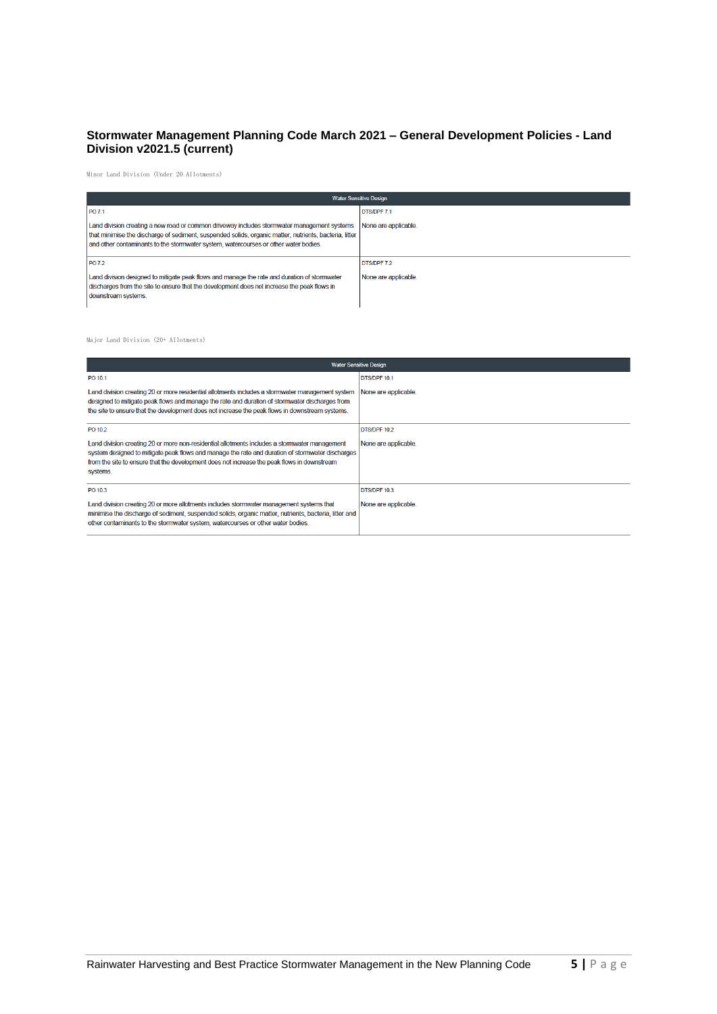# **Stormwater Management Planning Code March 2021 – General Development Policies - Land Division v2021.5 (current)**

Minor Land Division (Under 20 Allotments)

| <b>Water Sensitive Design</b>                                                                                                                                                                                                                                                                 |                                     |
|-----------------------------------------------------------------------------------------------------------------------------------------------------------------------------------------------------------------------------------------------------------------------------------------------|-------------------------------------|
| PO 7.1                                                                                                                                                                                                                                                                                        | <b>DTS/DPF 7.1</b>                  |
| Land division creating a new road or common driveway includes stormwater management systems<br>that minimise the discharge of sediment, suspended solids, organic matter, nutrients, bacteria, litter<br>and other contaminants to the stormwater system, watercourses or other water bodies. | None are applicable.                |
| PO 7.2<br>Land division designed to mitigate peak flows and manage the rate and duration of stormwater<br>discharges from the site to ensure that the development does not increase the peak flows in<br>downstream systems.                                                                  | DTS/DPF 7.2<br>None are applicable. |

#### Major Land Division (20+ Allotments)

| <b>Water Sensitive Design</b>                                                                                                                                                                                                                                                                                |                      |
|--------------------------------------------------------------------------------------------------------------------------------------------------------------------------------------------------------------------------------------------------------------------------------------------------------------|----------------------|
| PO 10.1                                                                                                                                                                                                                                                                                                      | <b>DTS/DPF 10.1</b>  |
| Land division creating 20 or more residential allotments includes a stormwater management system<br>designed to mitigate peak flows and manage the rate and duration of stormwater discharges from<br>the site to ensure that the development does not increase the peak flows in downstream systems.        | None are applicable. |
| PO 10.2                                                                                                                                                                                                                                                                                                      | DTS/DPF 10.2         |
| Land division creating 20 or more non-residential allotments includes a stormwater management<br>system designed to mitigate peak flows and manage the rate and duration of stormwater discharges<br>from the site to ensure that the development does not increase the peak flows in downstream<br>systems. | None are applicable. |
| PO 10.3                                                                                                                                                                                                                                                                                                      | DTS/DPF 10.3         |
| Land division creating 20 or more allotments includes stormwater management systems that<br>minimise the discharge of sediment, suspended solids, organic matter, nutrients, bacteria, litter and<br>other contaminants to the stormwater system, watercourses or other water bodies.                        | None are applicable. |